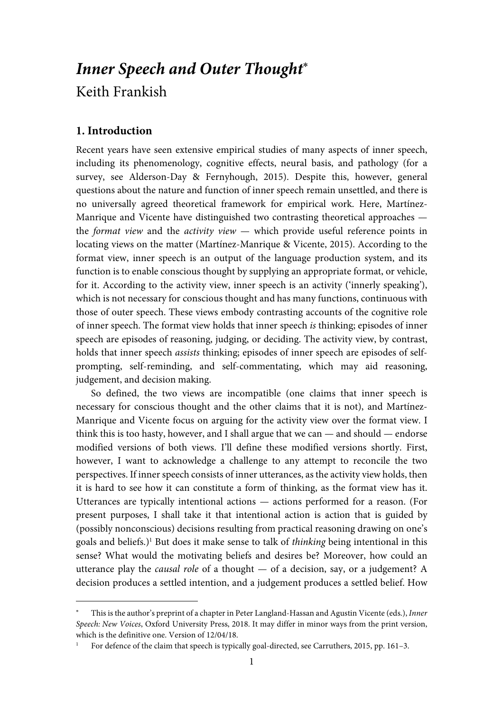# **Inner Speech and Outer Thought** Keith Frankish

## **1. Introduction**

 $\overline{a}$ 

Recent years have seen extensive empirical studies of many aspects of inner speech, including its phenomenology, cognitive effects, neural basis, and pathology (for a survey, see Alderson-Day & Fernyhough, 2015). Despite this, however, general questions about the nature and function of inner speech remain unsettled, and there is no universally agreed theoretical framework for empirical work. Here, Martínez-Manrique and Vicente have distinguished two contrasting theoretical approaches the format view and the activity view  $-$  which provide useful reference points in locating views on the matter (Martínez-Manrique & Vicente, 2015). According to the format view, inner speech is an output of the language production system, and its function is to enable conscious thought by supplying an appropriate format, or vehicle, for it. According to the activity view, inner speech is an activity ('innerly speaking'), which is not necessary for conscious thought and has many functions, continuous with those of outer speech. These views embody contrasting accounts of the cognitive role of inner speech. The format view holds that inner speech is thinking; episodes of inner speech are episodes of reasoning, judging, or deciding. The activity view, by contrast, holds that inner speech assists thinking; episodes of inner speech are episodes of selfprompting, self-reminding, and self-commentating, which may aid reasoning, judgement, and decision making.

 So defined, the two views are incompatible (one claims that inner speech is necessary for conscious thought and the other claims that it is not), and Martínez-Manrique and Vicente focus on arguing for the activity view over the format view. I think this is too hasty, however, and I shall argue that we can — and should — endorse modified versions of both views. I'll define these modified versions shortly. First, however, I want to acknowledge a challenge to any attempt to reconcile the two perspectives. If inner speech consists of inner utterances, as the activity view holds, then it is hard to see how it can constitute a form of thinking, as the format view has it. Utterances are typically intentional actions — actions performed for a reason. (For present purposes, I shall take it that intentional action is action that is guided by (possibly nonconscious) decisions resulting from practical reasoning drawing on one's goals and beliefs.)<sup>1</sup> But does it make sense to talk of *thinking* being intentional in this sense? What would the motivating beliefs and desires be? Moreover, how could an utterance play the causal role of a thought — of a decision, say, or a judgement? A decision produces a settled intention, and a judgement produces a settled belief. How

<sup>×</sup>  This is the author's preprint of a chapter in Peter Langland-Hassan and Agustin Vicente (eds.), Inner Speech: New Voices, Oxford University Press, 2018. It may differ in minor ways from the print version, which is the definitive one. Version of 12/04/18.

<sup>1</sup> For defence of the claim that speech is typically goal-directed, see Carruthers, 2015, pp. 161–3.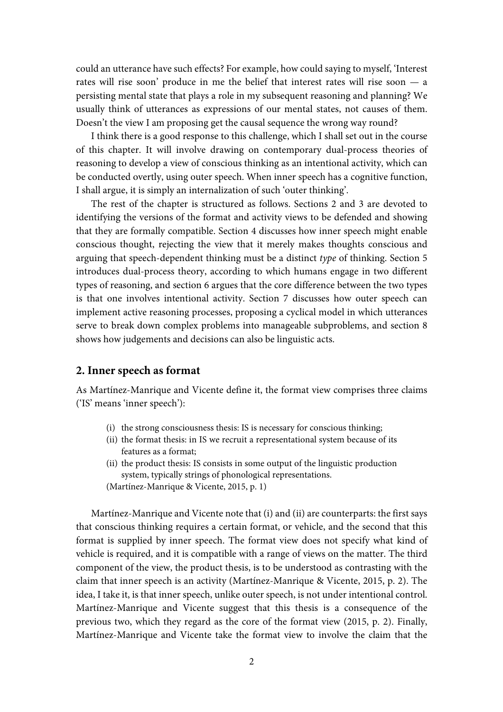could an utterance have such effects? For example, how could saying to myself, 'Interest rates will rise soon' produce in me the belief that interest rates will rise soon — a persisting mental state that plays a role in my subsequent reasoning and planning? We usually think of utterances as expressions of our mental states, not causes of them. Doesn't the view I am proposing get the causal sequence the wrong way round?

 I think there is a good response to this challenge, which I shall set out in the course of this chapter. It will involve drawing on contemporary dual-process theories of reasoning to develop a view of conscious thinking as an intentional activity, which can be conducted overtly, using outer speech. When inner speech has a cognitive function, I shall argue, it is simply an internalization of such 'outer thinking'.

 The rest of the chapter is structured as follows. Sections 2 and 3 are devoted to identifying the versions of the format and activity views to be defended and showing that they are formally compatible. Section 4 discusses how inner speech might enable conscious thought, rejecting the view that it merely makes thoughts conscious and arguing that speech-dependent thinking must be a distinct type of thinking. Section 5 introduces dual-process theory, according to which humans engage in two different types of reasoning, and section 6 argues that the core difference between the two types is that one involves intentional activity. Section 7 discusses how outer speech can implement active reasoning processes, proposing a cyclical model in which utterances serve to break down complex problems into manageable subproblems, and section 8 shows how judgements and decisions can also be linguistic acts.

#### **2. Inner speech as format**

As Martínez-Manrique and Vicente define it, the format view comprises three claims ('IS' means 'inner speech'):

- (i) the strong consciousness thesis: IS is necessary for conscious thinking;
- (ii) the format thesis: in IS we recruit a representational system because of its features as a format;
- (ii) the product thesis: IS consists in some output of the linguistic production system, typically strings of phonological representations.
- (Martínez-Manrique & Vicente, 2015, p. 1)

 Martínez-Manrique and Vicente note that (i) and (ii) are counterparts: the first says that conscious thinking requires a certain format, or vehicle, and the second that this format is supplied by inner speech. The format view does not specify what kind of vehicle is required, and it is compatible with a range of views on the matter. The third component of the view, the product thesis, is to be understood as contrasting with the claim that inner speech is an activity (Martínez-Manrique & Vicente, 2015, p. 2). The idea, I take it, is that inner speech, unlike outer speech, is not under intentional control. Martínez-Manrique and Vicente suggest that this thesis is a consequence of the previous two, which they regard as the core of the format view (2015, p. 2). Finally, Martínez-Manrique and Vicente take the format view to involve the claim that the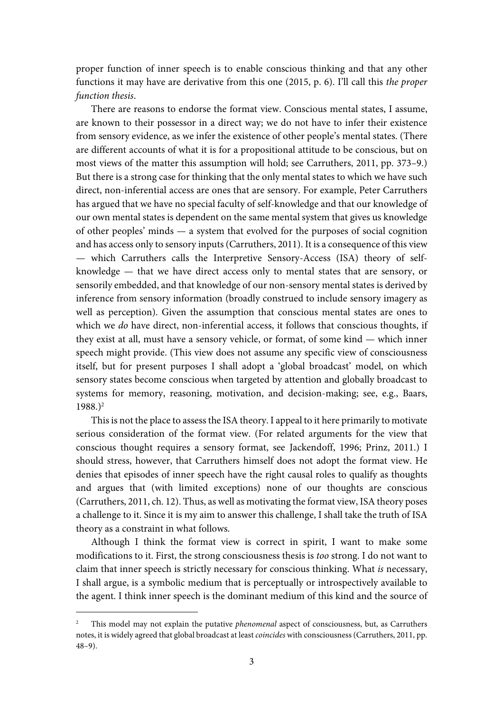proper function of inner speech is to enable conscious thinking and that any other functions it may have are derivative from this one (2015, p. 6). I'll call this the proper function thesis.

 There are reasons to endorse the format view. Conscious mental states, I assume, are known to their possessor in a direct way; we do not have to infer their existence from sensory evidence, as we infer the existence of other people's mental states. (There are different accounts of what it is for a propositional attitude to be conscious, but on most views of the matter this assumption will hold; see Carruthers, 2011, pp. 373–9.) But there is a strong case for thinking that the only mental states to which we have such direct, non-inferential access are ones that are sensory. For example, Peter Carruthers has argued that we have no special faculty of self-knowledge and that our knowledge of our own mental states is dependent on the same mental system that gives us knowledge of other peoples' minds — a system that evolved for the purposes of social cognition and has access only to sensory inputs (Carruthers, 2011). It is a consequence of this view — which Carruthers calls the Interpretive Sensory-Access (ISA) theory of selfknowledge — that we have direct access only to mental states that are sensory, or sensorily embedded, and that knowledge of our non-sensory mental states is derived by inference from sensory information (broadly construed to include sensory imagery as well as perception). Given the assumption that conscious mental states are ones to which we do have direct, non-inferential access, it follows that conscious thoughts, if they exist at all, must have a sensory vehicle, or format, of some kind — which inner speech might provide. (This view does not assume any specific view of consciousness itself, but for present purposes I shall adopt a 'global broadcast' model, on which sensory states become conscious when targeted by attention and globally broadcast to systems for memory, reasoning, motivation, and decision-making; see, e.g., Baars, 1988.)<sup>2</sup>

 This is not the place to assess the ISA theory. I appeal to it here primarily to motivate serious consideration of the format view. (For related arguments for the view that conscious thought requires a sensory format, see Jackendoff, 1996; Prinz, 2011.) I should stress, however, that Carruthers himself does not adopt the format view. He denies that episodes of inner speech have the right causal roles to qualify as thoughts and argues that (with limited exceptions) none of our thoughts are conscious (Carruthers, 2011, ch. 12). Thus, as well as motivating the format view, ISA theory poses a challenge to it. Since it is my aim to answer this challenge, I shall take the truth of ISA theory as a constraint in what follows.

 Although I think the format view is correct in spirit, I want to make some modifications to it. First, the strong consciousness thesis is too strong. I do not want to claim that inner speech is strictly necessary for conscious thinking. What is necessary, I shall argue, is a symbolic medium that is perceptually or introspectively available to the agent. I think inner speech is the dominant medium of this kind and the source of

<sup>2</sup> This model may not explain the putative phenomenal aspect of consciousness, but, as Carruthers notes, it is widely agreed that global broadcast at least coincides with consciousness (Carruthers, 2011, pp. 48–9).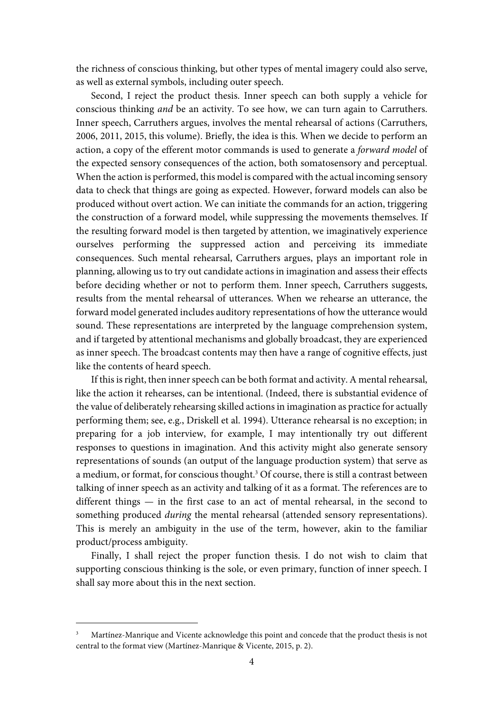the richness of conscious thinking, but other types of mental imagery could also serve, as well as external symbols, including outer speech.

 Second, I reject the product thesis. Inner speech can both supply a vehicle for conscious thinking and be an activity. To see how, we can turn again to Carruthers. Inner speech, Carruthers argues, involves the mental rehearsal of actions (Carruthers, 2006, 2011, 2015, this volume). Briefly, the idea is this. When we decide to perform an action, a copy of the efferent motor commands is used to generate a forward model of the expected sensory consequences of the action, both somatosensory and perceptual. When the action is performed, this model is compared with the actual incoming sensory data to check that things are going as expected. However, forward models can also be produced without overt action. We can initiate the commands for an action, triggering the construction of a forward model, while suppressing the movements themselves. If the resulting forward model is then targeted by attention, we imaginatively experience ourselves performing the suppressed action and perceiving its immediate consequences. Such mental rehearsal, Carruthers argues, plays an important role in planning, allowing us to try out candidate actions in imagination and assess their effects before deciding whether or not to perform them. Inner speech, Carruthers suggests, results from the mental rehearsal of utterances. When we rehearse an utterance, the forward model generated includes auditory representations of how the utterance would sound. These representations are interpreted by the language comprehension system, and if targeted by attentional mechanisms and globally broadcast, they are experienced as inner speech. The broadcast contents may then have a range of cognitive effects, just like the contents of heard speech.

 If this is right, then inner speech can be both format and activity. A mental rehearsal, like the action it rehearses, can be intentional. (Indeed, there is substantial evidence of the value of deliberately rehearsing skilled actions in imagination as practice for actually performing them; see, e.g., Driskell et al. 1994). Utterance rehearsal is no exception; in preparing for a job interview, for example, I may intentionally try out different responses to questions in imagination. And this activity might also generate sensory representations of sounds (an output of the language production system) that serve as a medium, or format, for conscious thought.<sup>3</sup> Of course, there is still a contrast between talking of inner speech as an activity and talking of it as a format. The references are to different things — in the first case to an act of mental rehearsal, in the second to something produced during the mental rehearsal (attended sensory representations). This is merely an ambiguity in the use of the term, however, akin to the familiar product/process ambiguity.

 Finally, I shall reject the proper function thesis. I do not wish to claim that supporting conscious thinking is the sole, or even primary, function of inner speech. I shall say more about this in the next section.

I

<sup>3</sup> Martínez-Manrique and Vicente acknowledge this point and concede that the product thesis is not central to the format view (Martínez-Manrique & Vicente, 2015, p. 2).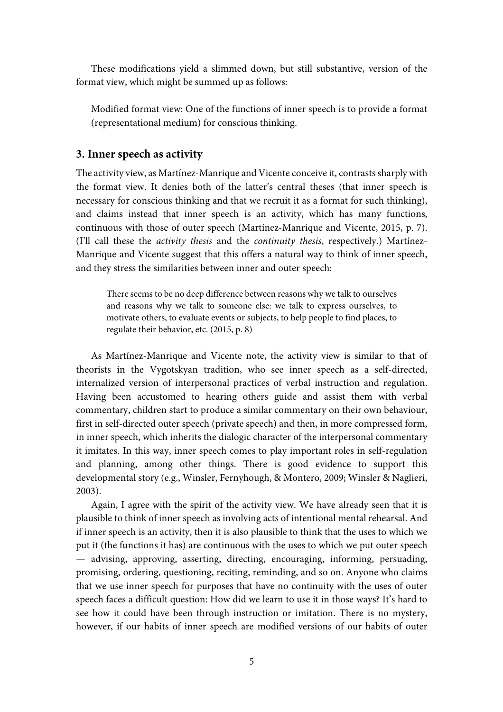These modifications yield a slimmed down, but still substantive, version of the format view, which might be summed up as follows:

 Modified format view: One of the functions of inner speech is to provide a format (representational medium) for conscious thinking.

## **3. Inner speech as activity**

The activity view, as Martínez-Manrique and Vicente conceive it, contrasts sharply with the format view. It denies both of the latter's central theses (that inner speech is necessary for conscious thinking and that we recruit it as a format for such thinking), and claims instead that inner speech is an activity, which has many functions, continuous with those of outer speech (Martínez-Manrique and Vicente, 2015, p. 7). (I'll call these the activity thesis and the continuity thesis, respectively.) Martínez-Manrique and Vicente suggest that this offers a natural way to think of inner speech, and they stress the similarities between inner and outer speech:

There seems to be no deep difference between reasons why we talk to ourselves and reasons why we talk to someone else: we talk to express ourselves, to motivate others, to evaluate events or subjects, to help people to find places, to regulate their behavior, etc. (2015, p. 8)

 As Martínez-Manrique and Vicente note, the activity view is similar to that of theorists in the Vygotskyan tradition, who see inner speech as a self-directed, internalized version of interpersonal practices of verbal instruction and regulation. Having been accustomed to hearing others guide and assist them with verbal commentary, children start to produce a similar commentary on their own behaviour, first in self-directed outer speech (private speech) and then, in more compressed form, in inner speech, which inherits the dialogic character of the interpersonal commentary it imitates. In this way, inner speech comes to play important roles in self-regulation and planning, among other things. There is good evidence to support this developmental story (e.g., Winsler, Fernyhough, & Montero, 2009; Winsler & Naglieri, 2003).

 Again, I agree with the spirit of the activity view. We have already seen that it is plausible to think of inner speech as involving acts of intentional mental rehearsal. And if inner speech is an activity, then it is also plausible to think that the uses to which we put it (the functions it has) are continuous with the uses to which we put outer speech — advising, approving, asserting, directing, encouraging, informing, persuading, promising, ordering, questioning, reciting, reminding, and so on. Anyone who claims that we use inner speech for purposes that have no continuity with the uses of outer speech faces a difficult question: How did we learn to use it in those ways? It's hard to see how it could have been through instruction or imitation. There is no mystery, however, if our habits of inner speech are modified versions of our habits of outer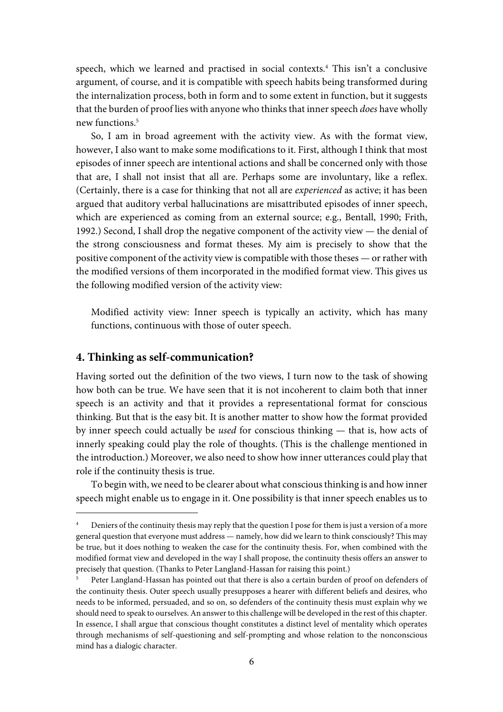speech, which we learned and practised in social contexts.<sup>4</sup> This isn't a conclusive argument, of course, and it is compatible with speech habits being transformed during the internalization process, both in form and to some extent in function, but it suggests that the burden of proof lies with anyone who thinks that inner speech does have wholly new functions.<sup>5</sup>

 So, I am in broad agreement with the activity view. As with the format view, however, I also want to make some modifications to it. First, although I think that most episodes of inner speech are intentional actions and shall be concerned only with those that are, I shall not insist that all are. Perhaps some are involuntary, like a reflex. (Certainly, there is a case for thinking that not all are experienced as active; it has been argued that auditory verbal hallucinations are misattributed episodes of inner speech, which are experienced as coming from an external source; e.g., Bentall, 1990; Frith, 1992.) Second, I shall drop the negative component of the activity view — the denial of the strong consciousness and format theses. My aim is precisely to show that the positive component of the activity view is compatible with those theses — or rather with the modified versions of them incorporated in the modified format view. This gives us the following modified version of the activity view:

 Modified activity view: Inner speech is typically an activity, which has many functions, continuous with those of outer speech.

## **4. Thinking as self-communication?**

 $\overline{a}$ 

Having sorted out the definition of the two views, I turn now to the task of showing how both can be true. We have seen that it is not incoherent to claim both that inner speech is an activity and that it provides a representational format for conscious thinking. But that is the easy bit. It is another matter to show how the format provided by inner speech could actually be used for conscious thinking — that is, how acts of innerly speaking could play the role of thoughts. (This is the challenge mentioned in the introduction.) Moreover, we also need to show how inner utterances could play that role if the continuity thesis is true.

 To begin with, we need to be clearer about what conscious thinking is and how inner speech might enable us to engage in it. One possibility is that inner speech enables us to

<sup>4</sup> Deniers of the continuity thesis may reply that the question I pose for them is just a version of a more general question that everyone must address — namely, how did we learn to think consciously? This may be true, but it does nothing to weaken the case for the continuity thesis. For, when combined with the modified format view and developed in the way I shall propose, the continuity thesis offers an answer to precisely that question. (Thanks to Peter Langland-Hassan for raising this point.)

<sup>5</sup> Peter Langland-Hassan has pointed out that there is also a certain burden of proof on defenders of the continuity thesis. Outer speech usually presupposes a hearer with different beliefs and desires, who needs to be informed, persuaded, and so on, so defenders of the continuity thesis must explain why we should need to speak to ourselves. An answer to this challenge will be developed in the rest of this chapter. In essence, I shall argue that conscious thought constitutes a distinct level of mentality which operates through mechanisms of self-questioning and self-prompting and whose relation to the nonconscious mind has a dialogic character.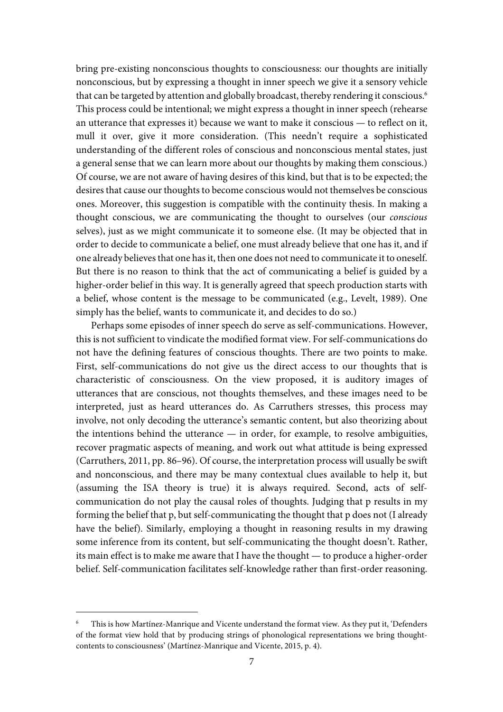bring pre-existing nonconscious thoughts to consciousness: our thoughts are initially nonconscious, but by expressing a thought in inner speech we give it a sensory vehicle that can be targeted by attention and globally broadcast, thereby rendering it conscious.<sup>6</sup> This process could be intentional; we might express a thought in inner speech (rehearse an utterance that expresses it) because we want to make it conscious — to reflect on it, mull it over, give it more consideration. (This needn't require a sophisticated understanding of the different roles of conscious and nonconscious mental states, just a general sense that we can learn more about our thoughts by making them conscious.) Of course, we are not aware of having desires of this kind, but that is to be expected; the desires that cause our thoughts to become conscious would not themselves be conscious ones. Moreover, this suggestion is compatible with the continuity thesis. In making a thought conscious, we are communicating the thought to ourselves (our conscious selves), just as we might communicate it to someone else. (It may be objected that in order to decide to communicate a belief, one must already believe that one has it, and if one already believes that one has it, then one does not need to communicate it to oneself. But there is no reason to think that the act of communicating a belief is guided by a higher-order belief in this way. It is generally agreed that speech production starts with a belief, whose content is the message to be communicated (e.g., Levelt, 1989). One simply has the belief, wants to communicate it, and decides to do so.)

 Perhaps some episodes of inner speech do serve as self-communications. However, this is not sufficient to vindicate the modified format view. For self-communications do not have the defining features of conscious thoughts. There are two points to make. First, self-communications do not give us the direct access to our thoughts that is characteristic of consciousness. On the view proposed, it is auditory images of utterances that are conscious, not thoughts themselves, and these images need to be interpreted, just as heard utterances do. As Carruthers stresses, this process may involve, not only decoding the utterance's semantic content, but also theorizing about the intentions behind the utterance — in order, for example, to resolve ambiguities, recover pragmatic aspects of meaning, and work out what attitude is being expressed (Carruthers, 2011, pp. 86–96). Of course, the interpretation process will usually be swift and nonconscious, and there may be many contextual clues available to help it, but (assuming the ISA theory is true) it is always required. Second, acts of selfcommunication do not play the causal roles of thoughts. Judging that p results in my forming the belief that p, but self-communicating the thought that p does not (I already have the belief). Similarly, employing a thought in reasoning results in my drawing some inference from its content, but self-communicating the thought doesn't. Rather, its main effect is to make me aware that I have the thought — to produce a higher-order belief. Self-communication facilitates self-knowledge rather than first-order reasoning.

<sup>6</sup> This is how Martínez-Manrique and Vicente understand the format view. As they put it, 'Defenders of the format view hold that by producing strings of phonological representations we bring thoughtcontents to consciousness' (Martínez-Manrique and Vicente, 2015, p. 4).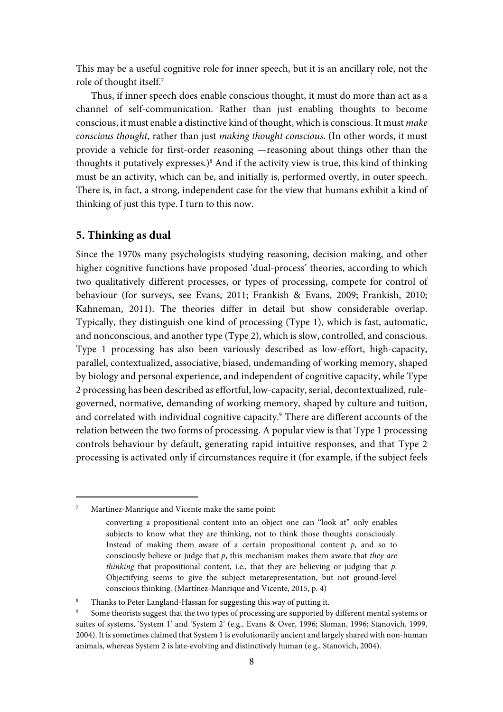This may be a useful cognitive role for inner speech, but it is an ancillary role, not the role of thought itself.<sup>7</sup>

 Thus, if inner speech does enable conscious thought, it must do more than act as a channel of self-communication. Rather than just enabling thoughts to become conscious, it must enable a distinctive kind of thought, which is conscious. It must make conscious thought, rather than just making thought conscious. (In other words, it must provide a vehicle for first-order reasoning —reasoning about things other than the thoughts it putatively expresses.)<sup>8</sup> And if the activity view is true, this kind of thinking must be an activity, which can be, and initially is, performed overtly, in outer speech. There is, in fact, a strong, independent case for the view that humans exhibit a kind of thinking of just this type. I turn to this now.

#### **5. Thinking as dual**

 $\overline{a}$ 

Since the 1970s many psychologists studying reasoning, decision making, and other higher cognitive functions have proposed 'dual-process' theories, according to which two qualitatively different processes, or types of processing, compete for control of behaviour (for surveys, see Evans, 2011; Frankish & Evans, 2009; Frankish, 2010; Kahneman, 2011). The theories differ in detail but show considerable overlap. Typically, they distinguish one kind of processing (Type 1), which is fast, automatic, and nonconscious, and another type (Type 2), which is slow, controlled, and conscious. Type 1 processing has also been variously described as low-effort, high-capacity, parallel, contextualized, associative, biased, undemanding of working memory, shaped by biology and personal experience, and independent of cognitive capacity, while Type 2 processing has been described as effortful, low-capacity, serial, decontextualized, rulegoverned, normative, demanding of working memory, shaped by culture and tuition, and correlated with individual cognitive capacity.<sup>9</sup> There are different accounts of the relation between the two forms of processing. A popular view is that Type 1 processing controls behaviour by default, generating rapid intuitive responses, and that Type 2 processing is activated only if circumstances require it (for example, if the subject feels

<sup>7</sup> Martínez-Manrique and Vicente make the same point:

converting a propositional content into an object one can "look at" only enables subjects to know what they are thinking, not to think those thoughts consciously. Instead of making them aware of a certain propositional content  $p$ , and so to consciously believe or judge that  $p$ , this mechanism makes them aware that they are thinking that propositional content, i.e., that they are believing or judging that  $p$ . Objectifying seems to give the subject metarepresentation, but not ground-level conscious thinking. (Martínez-Manrique and Vicente, 2015, p. 4)

<sup>8</sup> Thanks to Peter Langland-Hassan for suggesting this way of putting it.

<sup>9</sup> Some theorists suggest that the two types of processing are supported by different mental systems or suites of systems, 'System 1' and 'System 2' (e.g., Evans & Over, 1996; Sloman, 1996; Stanovich, 1999, 2004). It is sometimes claimed that System 1 is evolutionarily ancient and largely shared with non-human animals, whereas System 2 is late-evolving and distinctively human (e.g., Stanovich, 2004).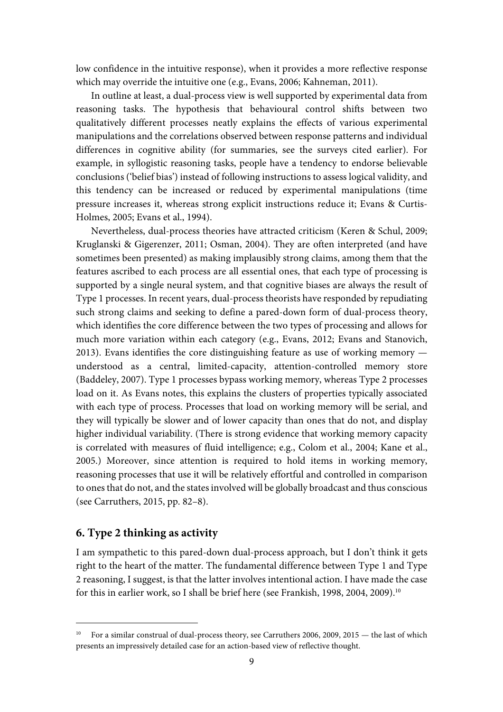low confidence in the intuitive response), when it provides a more reflective response which may override the intuitive one (e.g., Evans, 2006; Kahneman, 2011).

 In outline at least, a dual-process view is well supported by experimental data from reasoning tasks. The hypothesis that behavioural control shifts between two qualitatively different processes neatly explains the effects of various experimental manipulations and the correlations observed between response patterns and individual differences in cognitive ability (for summaries, see the surveys cited earlier). For example, in syllogistic reasoning tasks, people have a tendency to endorse believable conclusions ('belief bias') instead of following instructions to assess logical validity, and this tendency can be increased or reduced by experimental manipulations (time pressure increases it, whereas strong explicit instructions reduce it; Evans & Curtis-Holmes, 2005; Evans et al., 1994).

 Nevertheless, dual-process theories have attracted criticism (Keren & Schul, 2009; Kruglanski & Gigerenzer, 2011; Osman, 2004). They are often interpreted (and have sometimes been presented) as making implausibly strong claims, among them that the features ascribed to each process are all essential ones, that each type of processing is supported by a single neural system, and that cognitive biases are always the result of Type 1 processes. In recent years, dual-process theorists have responded by repudiating such strong claims and seeking to define a pared-down form of dual-process theory, which identifies the core difference between the two types of processing and allows for much more variation within each category (e.g., Evans, 2012; Evans and Stanovich, 2013). Evans identifies the core distinguishing feature as use of working memory understood as a central, limited-capacity, attention-controlled memory store (Baddeley, 2007). Type 1 processes bypass working memory, whereas Type 2 processes load on it. As Evans notes, this explains the clusters of properties typically associated with each type of process. Processes that load on working memory will be serial, and they will typically be slower and of lower capacity than ones that do not, and display higher individual variability. (There is strong evidence that working memory capacity is correlated with measures of fluid intelligence; e.g., Colom et al., 2004; Kane et al., 2005.) Moreover, since attention is required to hold items in working memory, reasoning processes that use it will be relatively effortful and controlled in comparison to ones that do not, and the states involved will be globally broadcast and thus conscious (see Carruthers, 2015, pp. 82–8).

#### **6. Type 2 thinking as activity**

I

I am sympathetic to this pared-down dual-process approach, but I don't think it gets right to the heart of the matter. The fundamental difference between Type 1 and Type 2 reasoning, I suggest, is that the latter involves intentional action. I have made the case for this in earlier work, so I shall be brief here (see Frankish, 1998, 2004, 2009).<sup>10</sup>

<sup>10</sup> For a similar construal of dual-process theory, see Carruthers 2006, 2009, 2015 — the last of which presents an impressively detailed case for an action-based view of reflective thought.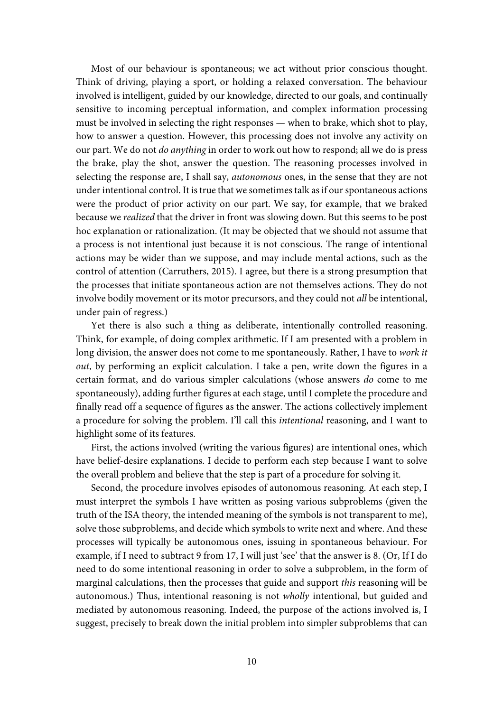Most of our behaviour is spontaneous; we act without prior conscious thought. Think of driving, playing a sport, or holding a relaxed conversation. The behaviour involved is intelligent, guided by our knowledge, directed to our goals, and continually sensitive to incoming perceptual information, and complex information processing must be involved in selecting the right responses — when to brake, which shot to play, how to answer a question. However, this processing does not involve any activity on our part. We do not do anything in order to work out how to respond; all we do is press the brake, play the shot, answer the question. The reasoning processes involved in selecting the response are, I shall say, autonomous ones, in the sense that they are not under intentional control. It is true that we sometimes talk as if our spontaneous actions were the product of prior activity on our part. We say, for example, that we braked because we realized that the driver in front was slowing down. But this seems to be post hoc explanation or rationalization. (It may be objected that we should not assume that a process is not intentional just because it is not conscious. The range of intentional actions may be wider than we suppose, and may include mental actions, such as the control of attention (Carruthers, 2015). I agree, but there is a strong presumption that the processes that initiate spontaneous action are not themselves actions. They do not involve bodily movement or its motor precursors, and they could not all be intentional, under pain of regress.)

 Yet there is also such a thing as deliberate, intentionally controlled reasoning. Think, for example, of doing complex arithmetic. If I am presented with a problem in long division, the answer does not come to me spontaneously. Rather, I have to work it out, by performing an explicit calculation. I take a pen, write down the figures in a certain format, and do various simpler calculations (whose answers do come to me spontaneously), adding further figures at each stage, until I complete the procedure and finally read off a sequence of figures as the answer. The actions collectively implement a procedure for solving the problem. I'll call this intentional reasoning, and I want to highlight some of its features.

 First, the actions involved (writing the various figures) are intentional ones, which have belief-desire explanations. I decide to perform each step because I want to solve the overall problem and believe that the step is part of a procedure for solving it.

 Second, the procedure involves episodes of autonomous reasoning. At each step, I must interpret the symbols I have written as posing various subproblems (given the truth of the ISA theory, the intended meaning of the symbols is not transparent to me), solve those subproblems, and decide which symbols to write next and where. And these processes will typically be autonomous ones, issuing in spontaneous behaviour. For example, if I need to subtract 9 from 17, I will just 'see' that the answer is 8. (Or, If I do need to do some intentional reasoning in order to solve a subproblem, in the form of marginal calculations, then the processes that guide and support this reasoning will be autonomous.) Thus, intentional reasoning is not wholly intentional, but guided and mediated by autonomous reasoning. Indeed, the purpose of the actions involved is, I suggest, precisely to break down the initial problem into simpler subproblems that can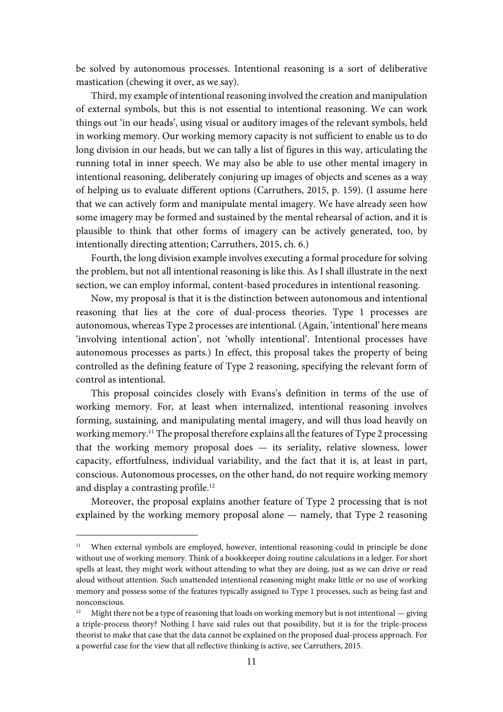be solved by autonomous processes. Intentional reasoning is a sort of deliberative mastication (chewing it over, as we say).

 Third, my example of intentional reasoning involved the creation and manipulation of external symbols, but this is not essential to intentional reasoning. We can work things out 'in our heads', using visual or auditory images of the relevant symbols, held in working memory. Our working memory capacity is not sufficient to enable us to do long division in our heads, but we can tally a list of figures in this way, articulating the running total in inner speech. We may also be able to use other mental imagery in intentional reasoning, deliberately conjuring up images of objects and scenes as a way of helping us to evaluate different options (Carruthers, 2015, p. 159). (I assume here that we can actively form and manipulate mental imagery. We have already seen how some imagery may be formed and sustained by the mental rehearsal of action, and it is plausible to think that other forms of imagery can be actively generated, too, by intentionally directing attention; Carruthers, 2015, ch. 6.)

 Fourth, the long division example involves executing a formal procedure for solving the problem, but not all intentional reasoning is like this. As I shall illustrate in the next section, we can employ informal, content-based procedures in intentional reasoning.

 Now, my proposal is that it is the distinction between autonomous and intentional reasoning that lies at the core of dual-process theories. Type 1 processes are autonomous, whereas Type 2 processes are intentional. (Again, 'intentional' here means 'involving intentional action', not 'wholly intentional'. Intentional processes have autonomous processes as parts.) In effect, this proposal takes the property of being controlled as the defining feature of Type 2 reasoning, specifying the relevant form of control as intentional.

 This proposal coincides closely with Evans's definition in terms of the use of working memory. For, at least when internalized, intentional reasoning involves forming, sustaining, and manipulating mental imagery, and will thus load heavily on working memory.<sup>11</sup> The proposal therefore explains all the features of Type 2 processing that the working memory proposal does — its seriality, relative slowness, lower capacity, effortfulness, individual variability, and the fact that it is, at least in part, conscious. Autonomous processes, on the other hand, do not require working memory and display a contrasting profile.<sup>12</sup>

 Moreover, the proposal explains another feature of Type 2 processing that is not explained by the working memory proposal alone — namely, that Type 2 reasoning

 $11$  When external symbols are employed, however, intentional reasoning could in principle be done without use of working memory. Think of a bookkeeper doing routine calculations in a ledger. For short spells at least, they might work without attending to what they are doing, just as we can drive or read aloud without attention. Such unattended intentional reasoning might make little or no use of working memory and possess some of the features typically assigned to Type 1 processes, such as being fast and nonconscious.

<sup>&</sup>lt;sup>12</sup> Might there not be a type of reasoning that loads on working memory but is not intentional  $-$  giving a triple-process theory? Nothing I have said rules out that possibility, but it is for the triple-process theorist to make that case that the data cannot be explained on the proposed dual-process approach. For a powerful case for the view that all reflective thinking is active, see Carruthers, 2015.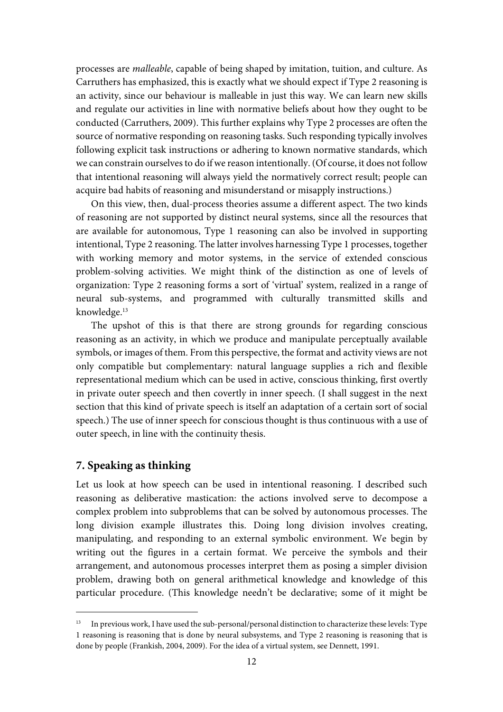processes are malleable, capable of being shaped by imitation, tuition, and culture. As Carruthers has emphasized, this is exactly what we should expect if Type 2 reasoning is an activity, since our behaviour is malleable in just this way. We can learn new skills and regulate our activities in line with normative beliefs about how they ought to be conducted (Carruthers, 2009). This further explains why Type 2 processes are often the source of normative responding on reasoning tasks. Such responding typically involves following explicit task instructions or adhering to known normative standards, which we can constrain ourselves to do if we reason intentionally. (Of course, it does not follow that intentional reasoning will always yield the normatively correct result; people can acquire bad habits of reasoning and misunderstand or misapply instructions.)

 On this view, then, dual-process theories assume a different aspect. The two kinds of reasoning are not supported by distinct neural systems, since all the resources that are available for autonomous, Type 1 reasoning can also be involved in supporting intentional, Type 2 reasoning. The latter involves harnessing Type 1 processes, together with working memory and motor systems, in the service of extended conscious problem-solving activities. We might think of the distinction as one of levels of organization: Type 2 reasoning forms a sort of 'virtual' system, realized in a range of neural sub-systems, and programmed with culturally transmitted skills and knowledge.<sup>13</sup>

 The upshot of this is that there are strong grounds for regarding conscious reasoning as an activity, in which we produce and manipulate perceptually available symbols, or images of them. From this perspective, the format and activity views are not only compatible but complementary: natural language supplies a rich and flexible representational medium which can be used in active, conscious thinking, first overtly in private outer speech and then covertly in inner speech. (I shall suggest in the next section that this kind of private speech is itself an adaptation of a certain sort of social speech.) The use of inner speech for conscious thought is thus continuous with a use of outer speech, in line with the continuity thesis.

## **7. Speaking as thinking**

 $\overline{a}$ 

Let us look at how speech can be used in intentional reasoning. I described such reasoning as deliberative mastication: the actions involved serve to decompose a complex problem into subproblems that can be solved by autonomous processes. The long division example illustrates this. Doing long division involves creating, manipulating, and responding to an external symbolic environment. We begin by writing out the figures in a certain format. We perceive the symbols and their arrangement, and autonomous processes interpret them as posing a simpler division problem, drawing both on general arithmetical knowledge and knowledge of this particular procedure. (This knowledge needn't be declarative; some of it might be

<sup>&</sup>lt;sup>13</sup> In previous work, I have used the sub-personal/personal distinction to characterize these levels: Type 1 reasoning is reasoning that is done by neural subsystems, and Type 2 reasoning is reasoning that is done by people (Frankish, 2004, 2009). For the idea of a virtual system, see Dennett, 1991.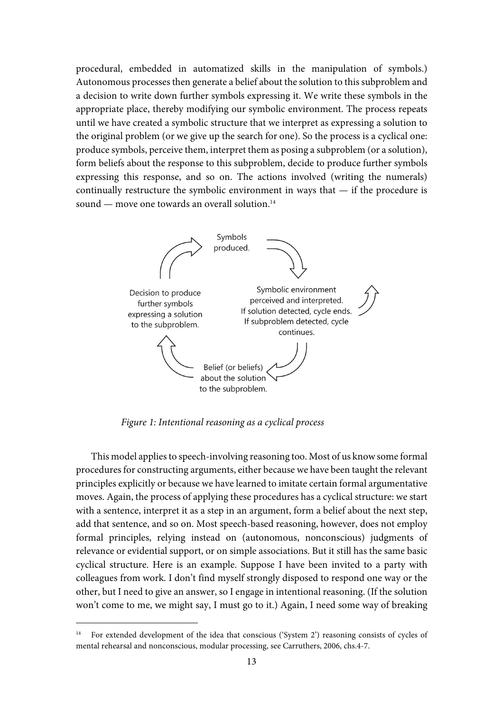procedural, embedded in automatized skills in the manipulation of symbols.) Autonomous processes then generate a belief about the solution to this subproblem and a decision to write down further symbols expressing it. We write these symbols in the appropriate place, thereby modifying our symbolic environment. The process repeats until we have created a symbolic structure that we interpret as expressing a solution to the original problem (or we give up the search for one). So the process is a cyclical one: produce symbols, perceive them, interpret them as posing a subproblem (or a solution), form beliefs about the response to this subproblem, decide to produce further symbols expressing this response, and so on. The actions involved (writing the numerals) continually restructure the symbolic environment in ways that — if the procedure is sound — move one towards an overall solution.<sup>14</sup>



Figure 1: Intentional reasoning as a cyclical process

 This model applies to speech-involving reasoning too. Most of us know some formal procedures for constructing arguments, either because we have been taught the relevant principles explicitly or because we have learned to imitate certain formal argumentative moves. Again, the process of applying these procedures has a cyclical structure: we start with a sentence, interpret it as a step in an argument, form a belief about the next step, add that sentence, and so on. Most speech-based reasoning, however, does not employ formal principles, relying instead on (autonomous, nonconscious) judgments of relevance or evidential support, or on simple associations. But it still has the same basic cyclical structure. Here is an example. Suppose I have been invited to a party with colleagues from work. I don't find myself strongly disposed to respond one way or the other, but I need to give an answer, so I engage in intentional reasoning. (If the solution won't come to me, we might say, I must go to it.) Again, I need some way of breaking

I

<sup>&</sup>lt;sup>14</sup> For extended development of the idea that conscious ('System 2') reasoning consists of cycles of mental rehearsal and nonconscious, modular processing, see Carruthers, 2006, chs.4-7.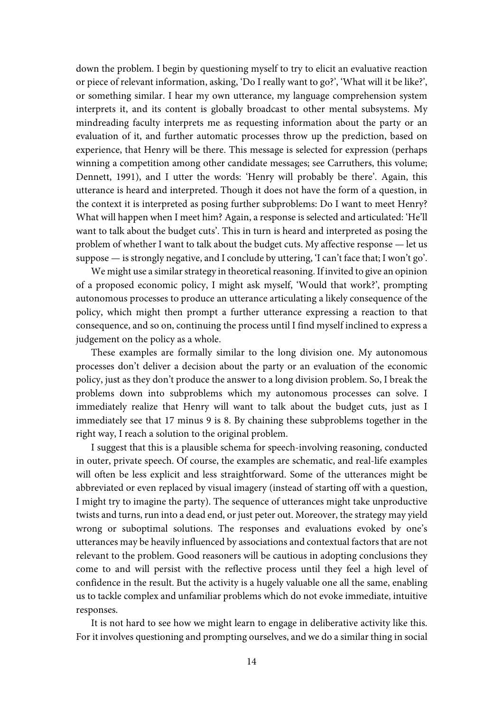down the problem. I begin by questioning myself to try to elicit an evaluative reaction or piece of relevant information, asking, 'Do I really want to go?', 'What will it be like?', or something similar. I hear my own utterance, my language comprehension system interprets it, and its content is globally broadcast to other mental subsystems. My mindreading faculty interprets me as requesting information about the party or an evaluation of it, and further automatic processes throw up the prediction, based on experience, that Henry will be there. This message is selected for expression (perhaps winning a competition among other candidate messages; see Carruthers, this volume; Dennett, 1991), and I utter the words: 'Henry will probably be there'. Again, this utterance is heard and interpreted. Though it does not have the form of a question, in the context it is interpreted as posing further subproblems: Do I want to meet Henry? What will happen when I meet him? Again, a response is selected and articulated: 'He'll want to talk about the budget cuts'. This in turn is heard and interpreted as posing the problem of whether I want to talk about the budget cuts. My affective response — let us suppose — is strongly negative, and I conclude by uttering, 'I can't face that; I won't go'.

 We might use a similar strategy in theoretical reasoning. If invited to give an opinion of a proposed economic policy, I might ask myself, 'Would that work?', prompting autonomous processes to produce an utterance articulating a likely consequence of the policy, which might then prompt a further utterance expressing a reaction to that consequence, and so on, continuing the process until I find myself inclined to express a judgement on the policy as a whole.

 These examples are formally similar to the long division one. My autonomous processes don't deliver a decision about the party or an evaluation of the economic policy, just as they don't produce the answer to a long division problem. So, I break the problems down into subproblems which my autonomous processes can solve. I immediately realize that Henry will want to talk about the budget cuts, just as I immediately see that 17 minus 9 is 8. By chaining these subproblems together in the right way, I reach a solution to the original problem.

 I suggest that this is a plausible schema for speech-involving reasoning, conducted in outer, private speech. Of course, the examples are schematic, and real-life examples will often be less explicit and less straightforward. Some of the utterances might be abbreviated or even replaced by visual imagery (instead of starting off with a question, I might try to imagine the party). The sequence of utterances might take unproductive twists and turns, run into a dead end, or just peter out. Moreover, the strategy may yield wrong or suboptimal solutions. The responses and evaluations evoked by one's utterances may be heavily influenced by associations and contextual factors that are not relevant to the problem. Good reasoners will be cautious in adopting conclusions they come to and will persist with the reflective process until they feel a high level of confidence in the result. But the activity is a hugely valuable one all the same, enabling us to tackle complex and unfamiliar problems which do not evoke immediate, intuitive responses.

 It is not hard to see how we might learn to engage in deliberative activity like this. For it involves questioning and prompting ourselves, and we do a similar thing in social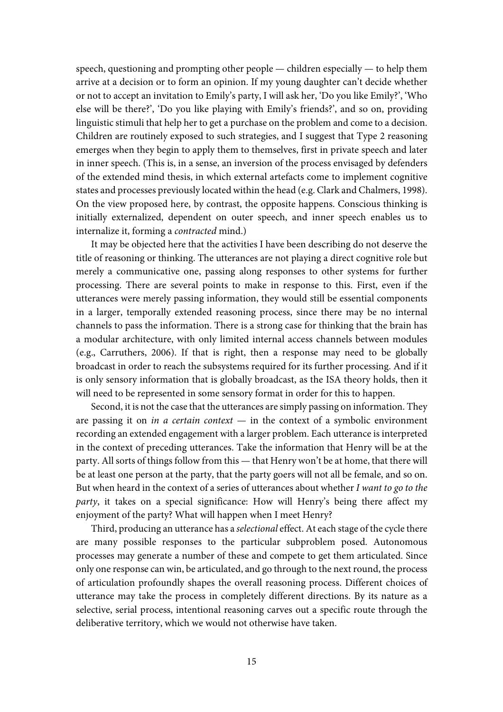speech, questioning and prompting other people — children especially — to help them arrive at a decision or to form an opinion. If my young daughter can't decide whether or not to accept an invitation to Emily's party, I will ask her, 'Do you like Emily?', 'Who else will be there?', 'Do you like playing with Emily's friends?', and so on, providing linguistic stimuli that help her to get a purchase on the problem and come to a decision. Children are routinely exposed to such strategies, and I suggest that Type 2 reasoning emerges when they begin to apply them to themselves, first in private speech and later in inner speech. (This is, in a sense, an inversion of the process envisaged by defenders of the extended mind thesis, in which external artefacts come to implement cognitive states and processes previously located within the head (e.g. Clark and Chalmers, 1998). On the view proposed here, by contrast, the opposite happens. Conscious thinking is initially externalized, dependent on outer speech, and inner speech enables us to internalize it, forming a contracted mind.)

 It may be objected here that the activities I have been describing do not deserve the title of reasoning or thinking. The utterances are not playing a direct cognitive role but merely a communicative one, passing along responses to other systems for further processing. There are several points to make in response to this. First, even if the utterances were merely passing information, they would still be essential components in a larger, temporally extended reasoning process, since there may be no internal channels to pass the information. There is a strong case for thinking that the brain has a modular architecture, with only limited internal access channels between modules (e.g., Carruthers, 2006). If that is right, then a response may need to be globally broadcast in order to reach the subsystems required for its further processing. And if it is only sensory information that is globally broadcast, as the ISA theory holds, then it will need to be represented in some sensory format in order for this to happen.

 Second, it is not the case that the utterances are simply passing on information. They are passing it on *in a certain context*  $-$  in the context of a symbolic environment recording an extended engagement with a larger problem. Each utterance is interpreted in the context of preceding utterances. Take the information that Henry will be at the party. All sorts of things follow from this — that Henry won't be at home, that there will be at least one person at the party, that the party goers will not all be female, and so on. But when heard in the context of a series of utterances about whether I want to go to the party, it takes on a special significance: How will Henry's being there affect my enjoyment of the party? What will happen when I meet Henry?

 Third, producing an utterance has a selectional effect. At each stage of the cycle there are many possible responses to the particular subproblem posed. Autonomous processes may generate a number of these and compete to get them articulated. Since only one response can win, be articulated, and go through to the next round, the process of articulation profoundly shapes the overall reasoning process. Different choices of utterance may take the process in completely different directions. By its nature as a selective, serial process, intentional reasoning carves out a specific route through the deliberative territory, which we would not otherwise have taken.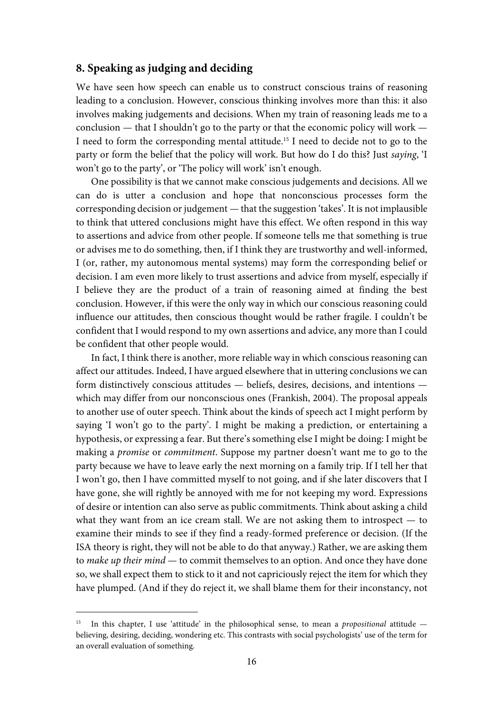#### **8. Speaking as judging and deciding**

We have seen how speech can enable us to construct conscious trains of reasoning leading to a conclusion. However, conscious thinking involves more than this: it also involves making judgements and decisions. When my train of reasoning leads me to a conclusion — that I shouldn't go to the party or that the economic policy will work — I need to form the corresponding mental attitude.<sup>15</sup> I need to decide not to go to the party or form the belief that the policy will work. But how do I do this? Just saying, 'I won't go to the party', or 'The policy will work' isn't enough.

 One possibility is that we cannot make conscious judgements and decisions. All we can do is utter a conclusion and hope that nonconscious processes form the corresponding decision or judgement — that the suggestion 'takes'. It is not implausible to think that uttered conclusions might have this effect. We often respond in this way to assertions and advice from other people. If someone tells me that something is true or advises me to do something, then, if I think they are trustworthy and well-informed, I (or, rather, my autonomous mental systems) may form the corresponding belief or decision. I am even more likely to trust assertions and advice from myself, especially if I believe they are the product of a train of reasoning aimed at finding the best conclusion. However, if this were the only way in which our conscious reasoning could influence our attitudes, then conscious thought would be rather fragile. I couldn't be confident that I would respond to my own assertions and advice, any more than I could be confident that other people would.

 In fact, I think there is another, more reliable way in which conscious reasoning can affect our attitudes. Indeed, I have argued elsewhere that in uttering conclusions we can form distinctively conscious attitudes — beliefs, desires, decisions, and intentions which may differ from our nonconscious ones (Frankish, 2004). The proposal appeals to another use of outer speech. Think about the kinds of speech act I might perform by saying 'I won't go to the party'. I might be making a prediction, or entertaining a hypothesis, or expressing a fear. But there's something else I might be doing: I might be making a promise or commitment. Suppose my partner doesn't want me to go to the party because we have to leave early the next morning on a family trip. If I tell her that I won't go, then I have committed myself to not going, and if she later discovers that I have gone, she will rightly be annoyed with me for not keeping my word. Expressions of desire or intention can also serve as public commitments. Think about asking a child what they want from an ice cream stall. We are not asking them to introspect — to examine their minds to see if they find a ready-formed preference or decision. (If the ISA theory is right, they will not be able to do that anyway.) Rather, we are asking them to make up their mind — to commit themselves to an option. And once they have done so, we shall expect them to stick to it and not capriciously reject the item for which they have plumped. (And if they do reject it, we shall blame them for their inconstancy, not

<sup>&</sup>lt;sup>15</sup> In this chapter, I use 'attitude' in the philosophical sense, to mean a *propositional* attitude  $$ believing, desiring, deciding, wondering etc. This contrasts with social psychologists' use of the term for an overall evaluation of something.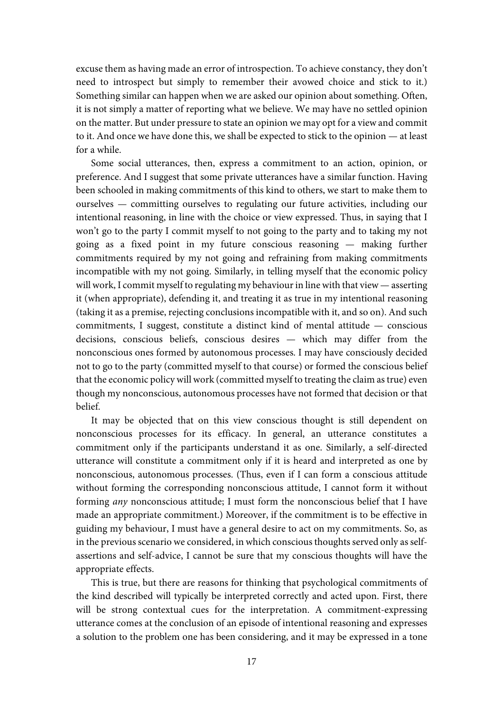excuse them as having made an error of introspection. To achieve constancy, they don't need to introspect but simply to remember their avowed choice and stick to it.) Something similar can happen when we are asked our opinion about something. Often, it is not simply a matter of reporting what we believe. We may have no settled opinion on the matter. But under pressure to state an opinion we may opt for a view and commit to it. And once we have done this, we shall be expected to stick to the opinion — at least for a while.

 Some social utterances, then, express a commitment to an action, opinion, or preference. And I suggest that some private utterances have a similar function. Having been schooled in making commitments of this kind to others, we start to make them to ourselves — committing ourselves to regulating our future activities, including our intentional reasoning, in line with the choice or view expressed. Thus, in saying that I won't go to the party I commit myself to not going to the party and to taking my not going as a fixed point in my future conscious reasoning — making further commitments required by my not going and refraining from making commitments incompatible with my not going. Similarly, in telling myself that the economic policy will work, I commit myself to regulating my behaviour in line with that view — asserting it (when appropriate), defending it, and treating it as true in my intentional reasoning (taking it as a premise, rejecting conclusions incompatible with it, and so on). And such commitments, I suggest, constitute a distinct kind of mental attitude — conscious decisions, conscious beliefs, conscious desires — which may differ from the nonconscious ones formed by autonomous processes. I may have consciously decided not to go to the party (committed myself to that course) or formed the conscious belief that the economic policy will work (committed myself to treating the claim as true) even though my nonconscious, autonomous processes have not formed that decision or that belief.

 It may be objected that on this view conscious thought is still dependent on nonconscious processes for its efficacy. In general, an utterance constitutes a commitment only if the participants understand it as one. Similarly, a self-directed utterance will constitute a commitment only if it is heard and interpreted as one by nonconscious, autonomous processes. (Thus, even if I can form a conscious attitude without forming the corresponding nonconscious attitude, I cannot form it without forming any nonconscious attitude; I must form the nonconscious belief that I have made an appropriate commitment.) Moreover, if the commitment is to be effective in guiding my behaviour, I must have a general desire to act on my commitments. So, as in the previous scenario we considered, in which conscious thoughts served only as selfassertions and self-advice, I cannot be sure that my conscious thoughts will have the appropriate effects.

 This is true, but there are reasons for thinking that psychological commitments of the kind described will typically be interpreted correctly and acted upon. First, there will be strong contextual cues for the interpretation. A commitment-expressing utterance comes at the conclusion of an episode of intentional reasoning and expresses a solution to the problem one has been considering, and it may be expressed in a tone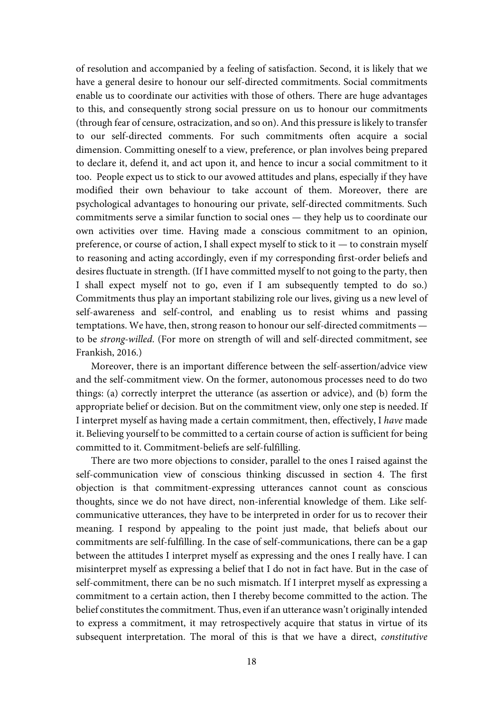of resolution and accompanied by a feeling of satisfaction. Second, it is likely that we have a general desire to honour our self-directed commitments. Social commitments enable us to coordinate our activities with those of others. There are huge advantages to this, and consequently strong social pressure on us to honour our commitments (through fear of censure, ostracization, and so on). And this pressure is likely to transfer to our self-directed comments. For such commitments often acquire a social dimension. Committing oneself to a view, preference, or plan involves being prepared to declare it, defend it, and act upon it, and hence to incur a social commitment to it too. People expect us to stick to our avowed attitudes and plans, especially if they have modified their own behaviour to take account of them. Moreover, there are psychological advantages to honouring our private, self-directed commitments. Such commitments serve a similar function to social ones — they help us to coordinate our own activities over time. Having made a conscious commitment to an opinion, preference, or course of action, I shall expect myself to stick to it — to constrain myself to reasoning and acting accordingly, even if my corresponding first-order beliefs and desires fluctuate in strength. (If I have committed myself to not going to the party, then I shall expect myself not to go, even if I am subsequently tempted to do so.) Commitments thus play an important stabilizing role our lives, giving us a new level of self-awareness and self-control, and enabling us to resist whims and passing temptations. We have, then, strong reason to honour our self-directed commitments to be strong-willed. (For more on strength of will and self-directed commitment, see Frankish, 2016.)

 Moreover, there is an important difference between the self-assertion/advice view and the self-commitment view. On the former, autonomous processes need to do two things: (a) correctly interpret the utterance (as assertion or advice), and (b) form the appropriate belief or decision. But on the commitment view, only one step is needed. If I interpret myself as having made a certain commitment, then, effectively, I have made it. Believing yourself to be committed to a certain course of action is sufficient for being committed to it. Commitment-beliefs are self-fulfilling.

 There are two more objections to consider, parallel to the ones I raised against the self-communication view of conscious thinking discussed in section 4. The first objection is that commitment-expressing utterances cannot count as conscious thoughts, since we do not have direct, non-inferential knowledge of them. Like selfcommunicative utterances, they have to be interpreted in order for us to recover their meaning. I respond by appealing to the point just made, that beliefs about our commitments are self-fulfilling. In the case of self-communications, there can be a gap between the attitudes I interpret myself as expressing and the ones I really have. I can misinterpret myself as expressing a belief that I do not in fact have. But in the case of self-commitment, there can be no such mismatch. If I interpret myself as expressing a commitment to a certain action, then I thereby become committed to the action. The belief constitutes the commitment. Thus, even if an utterance wasn't originally intended to express a commitment, it may retrospectively acquire that status in virtue of its subsequent interpretation. The moral of this is that we have a direct, constitutive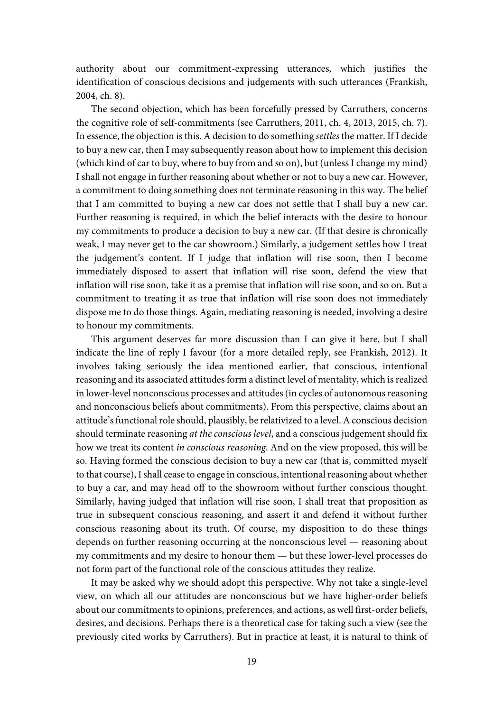authority about our commitment-expressing utterances, which justifies the identification of conscious decisions and judgements with such utterances (Frankish, 2004, ch. 8).

 The second objection, which has been forcefully pressed by Carruthers, concerns the cognitive role of self-commitments (see Carruthers, 2011, ch. 4, 2013, 2015, ch. 7). In essence, the objection is this. A decision to do something settles the matter. If I decide to buy a new car, then I may subsequently reason about how to implement this decision (which kind of car to buy, where to buy from and so on), but (unless I change my mind) I shall not engage in further reasoning about whether or not to buy a new car. However, a commitment to doing something does not terminate reasoning in this way. The belief that I am committed to buying a new car does not settle that I shall buy a new car. Further reasoning is required, in which the belief interacts with the desire to honour my commitments to produce a decision to buy a new car. (If that desire is chronically weak, I may never get to the car showroom.) Similarly, a judgement settles how I treat the judgement's content. If I judge that inflation will rise soon, then I become immediately disposed to assert that inflation will rise soon, defend the view that inflation will rise soon, take it as a premise that inflation will rise soon, and so on. But a commitment to treating it as true that inflation will rise soon does not immediately dispose me to do those things. Again, mediating reasoning is needed, involving a desire to honour my commitments.

 This argument deserves far more discussion than I can give it here, but I shall indicate the line of reply I favour (for a more detailed reply, see Frankish, 2012). It involves taking seriously the idea mentioned earlier, that conscious, intentional reasoning and its associated attitudes form a distinct level of mentality, which is realized in lower-level nonconscious processes and attitudes (in cycles of autonomous reasoning and nonconscious beliefs about commitments). From this perspective, claims about an attitude's functional role should, plausibly, be relativized to a level. A conscious decision should terminate reasoning at the conscious level, and a conscious judgement should fix how we treat its content in conscious reasoning. And on the view proposed, this will be so. Having formed the conscious decision to buy a new car (that is, committed myself to that course), I shall cease to engage in conscious, intentional reasoning about whether to buy a car, and may head off to the showroom without further conscious thought. Similarly, having judged that inflation will rise soon, I shall treat that proposition as true in subsequent conscious reasoning, and assert it and defend it without further conscious reasoning about its truth. Of course, my disposition to do these things depends on further reasoning occurring at the nonconscious level — reasoning about my commitments and my desire to honour them — but these lower-level processes do not form part of the functional role of the conscious attitudes they realize.

 It may be asked why we should adopt this perspective. Why not take a single-level view, on which all our attitudes are nonconscious but we have higher-order beliefs about our commitments to opinions, preferences, and actions, as well first-order beliefs, desires, and decisions. Perhaps there is a theoretical case for taking such a view (see the previously cited works by Carruthers). But in practice at least, it is natural to think of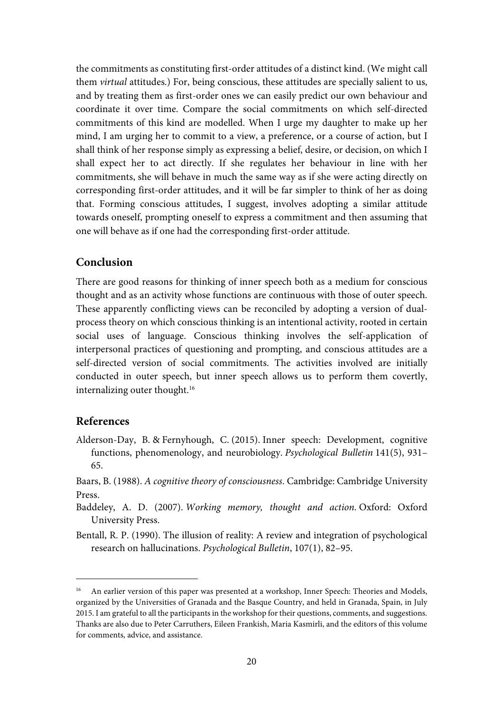the commitments as constituting first-order attitudes of a distinct kind. (We might call them virtual attitudes.) For, being conscious, these attitudes are specially salient to us, and by treating them as first-order ones we can easily predict our own behaviour and coordinate it over time. Compare the social commitments on which self-directed commitments of this kind are modelled. When I urge my daughter to make up her mind, I am urging her to commit to a view, a preference, or a course of action, but I shall think of her response simply as expressing a belief, desire, or decision, on which I shall expect her to act directly. If she regulates her behaviour in line with her commitments, she will behave in much the same way as if she were acting directly on corresponding first-order attitudes, and it will be far simpler to think of her as doing that. Forming conscious attitudes, I suggest, involves adopting a similar attitude towards oneself, prompting oneself to express a commitment and then assuming that one will behave as if one had the corresponding first-order attitude.

## **Conclusion**

There are good reasons for thinking of inner speech both as a medium for conscious thought and as an activity whose functions are continuous with those of outer speech. These apparently conflicting views can be reconciled by adopting a version of dualprocess theory on which conscious thinking is an intentional activity, rooted in certain social uses of language. Conscious thinking involves the self-application of interpersonal practices of questioning and prompting, and conscious attitudes are a self-directed version of social commitments. The activities involved are initially conducted in outer speech, but inner speech allows us to perform them covertly, internalizing outer thought.<sup>16</sup>

## **References**

 $\overline{a}$ 

Alderson-Day, B. & Fernyhough, C. (2015). Inner speech: Development, cognitive functions, phenomenology, and neurobiology. Psychological Bulletin 141(5), 931– 65.

Baars, B. (1988). A cognitive theory of consciousness. Cambridge: Cambridge University Press.

Baddeley, A. D. (2007). Working memory, thought and action. Oxford: Oxford University Press.

Bentall, R. P. (1990). The illusion of reality: A review and integration of psychological research on hallucinations. Psychological Bulletin, 107(1), 82–95.

<sup>&</sup>lt;sup>16</sup> An earlier version of this paper was presented at a workshop, Inner Speech: Theories and Models, organized by the Universities of Granada and the Basque Country, and held in Granada, Spain, in July 2015. I am grateful to all the participants in the workshop for their questions, comments, and suggestions. Thanks are also due to Peter Carruthers, Eileen Frankish, Maria Kasmirli, and the editors of this volume for comments, advice, and assistance.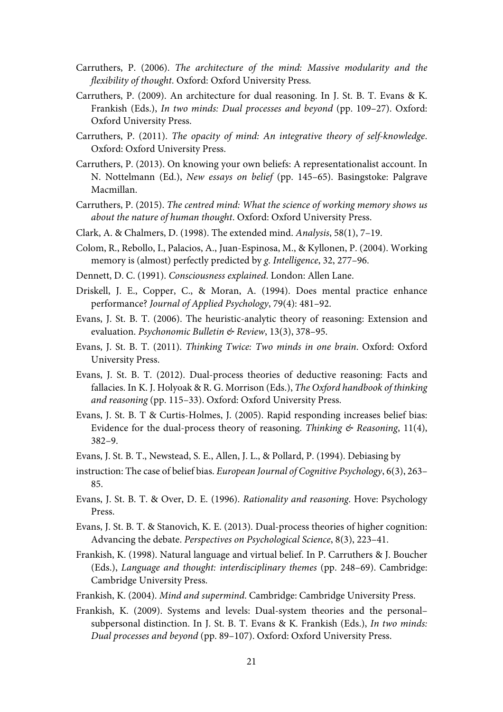- Carruthers, P. (2006). The architecture of the mind: Massive modularity and the flexibility of thought. Oxford: Oxford University Press.
- Carruthers, P. (2009). An architecture for dual reasoning. In J. St. B. T. Evans & K. Frankish (Eds.), In two minds: Dual processes and beyond (pp. 109–27). Oxford: Oxford University Press.
- Carruthers, P. (2011). The opacity of mind: An integrative theory of self-knowledge. Oxford: Oxford University Press.
- Carruthers, P. (2013). On knowing your own beliefs: A representationalist account. In N. Nottelmann (Ed.), New essays on belief (pp. 145–65). Basingstoke: Palgrave Macmillan.
- Carruthers, P. (2015). The centred mind: What the science of working memory shows us about the nature of human thought. Oxford: Oxford University Press.
- Clark, A. & Chalmers, D. (1998). The extended mind. Analysis, 58(1), 7–19.
- Colom, R., Rebollo, I., Palacios, A., Juan-Espinosa, M., & Kyllonen, P. (2004). Working memory is (almost) perfectly predicted by g. Intelligence, 32, 277–96.
- Dennett, D. C. (1991). Consciousness explained. London: Allen Lane.
- Driskell, J. E., Copper, C., & Moran, A. (1994). Does mental practice enhance performance? Journal of Applied Psychology, 79(4): 481–92.
- Evans, J. St. B. T. (2006). The heuristic-analytic theory of reasoning: Extension and evaluation. Psychonomic Bulletin & Review, 13(3), 378-95.
- Evans, J. St. B. T. (2011). Thinking Twice: Two minds in one brain. Oxford: Oxford University Press.
- Evans, J. St. B. T. (2012). Dual-process theories of deductive reasoning: Facts and fallacies. In K. J. Holyoak & R. G. Morrison (Eds.), The Oxford handbook of thinking and reasoning (pp. 115–33). Oxford: Oxford University Press.
- Evans, J. St. B. T & Curtis-Holmes, J. (2005). Rapid responding increases belief bias: Evidence for the dual-process theory of reasoning. Thinking  $\&$  Reasoning, 11(4), 382–9.
- Evans, J. St. B. T., Newstead, S. E., Allen, J. L., & Pollard, P. (1994). Debiasing by
- instruction: The case of belief bias. European Journal of Cognitive Psychology, 6(3), 263– 85.
- Evans, J. St. B. T. & Over, D. E. (1996). Rationality and reasoning. Hove: Psychology Press.
- Evans, J. St. B. T. & Stanovich, K. E. (2013). Dual-process theories of higher cognition: Advancing the debate. Perspectives on Psychological Science, 8(3), 223–41.
- Frankish, K. (1998). Natural language and virtual belief. In P. Carruthers & J. Boucher (Eds.), Language and thought: interdisciplinary themes (pp. 248–69). Cambridge: Cambridge University Press.
- Frankish, K. (2004). Mind and supermind. Cambridge: Cambridge University Press.
- Frankish, K. (2009). Systems and levels: Dual-system theories and the personal– subpersonal distinction. In J. St. B. T. Evans & K. Frankish (Eds.), In two minds: Dual processes and beyond (pp. 89–107). Oxford: Oxford University Press.